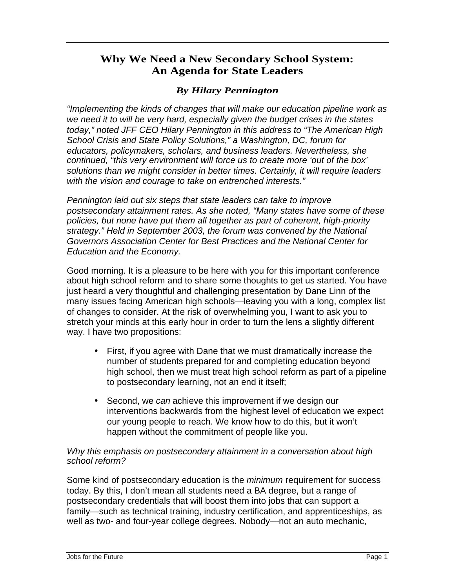## **Why We Need a New Secondary School System: An Agenda for State Leaders**

## *By Hilary Pennington*

"Implementing the kinds of changes that will make our education pipeline work as we need it to will be very hard, especially given the budget crises in the states today," noted JFF CEO Hilary Pennington in this address to "The American High School Crisis and State Policy Solutions," a Washington, DC, forum for educators, policymakers, scholars, and business leaders. Nevertheless, she continued, "this very environment will force us to create more 'out of the box' solutions than we might consider in better times. Certainly, it will require leaders with the vision and courage to take on entrenched interests."

Pennington laid out six steps that state leaders can take to improve postsecondary attainment rates. As she noted, "Many states have some of these policies, but none have put them all together as part of coherent, high-priority strategy." Held in September 2003, the forum was convened by the National Governors Association Center for Best Practices and the National Center for Education and the Economy.

Good morning. It is a pleasure to be here with you for this important conference about high school reform and to share some thoughts to get us started. You have just heard a very thoughtful and challenging presentation by Dane Linn of the many issues facing American high schools—leaving you with a long, complex list of changes to consider. At the risk of overwhelming you, I want to ask you to stretch your minds at this early hour in order to turn the lens a slightly different way. I have two propositions:

- First, if you agree with Dane that we must dramatically increase the number of students prepared for and completing education beyond high school, then we must treat high school reform as part of a pipeline to postsecondary learning, not an end it itself;
- Second, we can achieve this improvement if we design our interventions backwards from the highest level of education we expect our young people to reach. We know how to do this, but it won't happen without the commitment of people like you.

## Why this emphasis on postsecondary attainment in a conversation about high school reform?

Some kind of postsecondary education is the *minimum* requirement for success today. By this, I don't mean all students need a BA degree, but a range of postsecondary credentials that will boost them into jobs that can support a family—such as technical training, industry certification, and apprenticeships, as well as two- and four-year college degrees. Nobody—not an auto mechanic,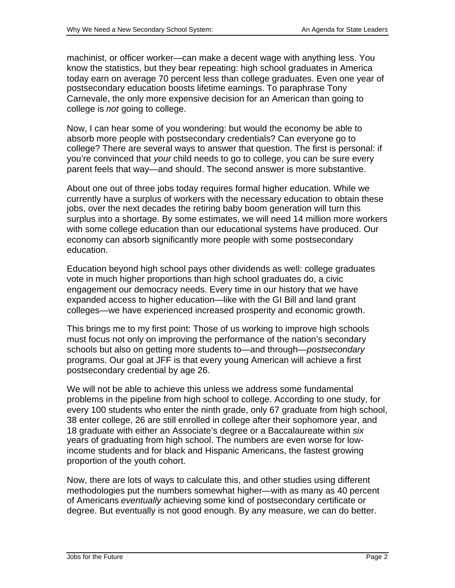machinist, or officer worker—can make a decent wage with anything less. You know the statistics, but they bear repeating: high school graduates in America today earn on average 70 percent less than college graduates. Even one year of postsecondary education boosts lifetime earnings. To paraphrase Tony Carnevale, the only more expensive decision for an American than going to college is *not* going to college.

Now, I can hear some of you wondering: but would the economy be able to absorb more people with postsecondary credentials? Can everyone go to college? There are several ways to answer that question. The first is personal: if you're convinced that your child needs to go to college, you can be sure every parent feels that way—and should. The second answer is more substantive.

About one out of three jobs today requires formal higher education. While we currently have a surplus of workers with the necessary education to obtain these jobs, over the next decades the retiring baby boom generation will turn this surplus into a shortage. By some estimates, we will need 14 million more workers with some college education than our educational systems have produced. Our economy can absorb significantly more people with some postsecondary education.

Education beyond high school pays other dividends as well: college graduates vote in much higher proportions than high school graduates do, a civic engagement our democracy needs. Every time in our history that we have expanded access to higher education—like with the GI Bill and land grant colleges—we have experienced increased prosperity and economic growth.

This brings me to my first point: Those of us working to improve high schools must focus not only on improving the performance of the nation's secondary schools but also on getting more students to—and through—postsecondary programs. Our goal at JFF is that every young American will achieve a first postsecondary credential by age 26.

We will not be able to achieve this unless we address some fundamental problems in the pipeline from high school to college. According to one study, for every 100 students who enter the ninth grade, only 67 graduate from high school, 38 enter college, 26 are still enrolled in college after their sophomore year, and 18 graduate with either an Associate's degree or a Baccalaureate within six years of graduating from high school. The numbers are even worse for lowincome students and for black and Hispanic Americans, the fastest growing proportion of the youth cohort.

Now, there are lots of ways to calculate this, and other studies using different methodologies put the numbers somewhat higher—with as many as 40 percent of Americans eventually achieving some kind of postsecondary certificate or degree. But eventually is not good enough. By any measure, we can do better.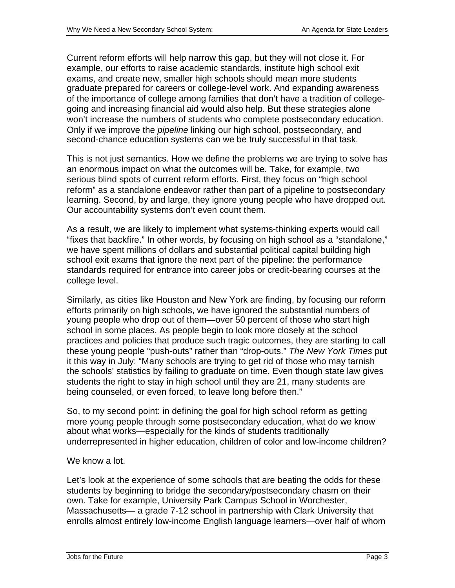Current reform efforts will help narrow this gap, but they will not close it. For example, our efforts to raise academic standards, institute high school exit exams, and create new, smaller high schools should mean more students graduate prepared for careers or college-level work. And expanding awareness of the importance of college among families that don't have a tradition of collegegoing and increasing financial aid would also help. But these strategies alone won't increase the numbers of students who complete postsecondary education. Only if we improve the *pipeline* linking our high school, postsecondary, and second-chance education systems can we be truly successful in that task.

This is not just semantics. How we define the problems we are trying to solve has an enormous impact on what the outcomes will be. Take, for example, two serious blind spots of current reform efforts. First, they focus on "high school reform" as a standalone endeavor rather than part of a pipeline to postsecondary learning. Second, by and large, they ignore young people who have dropped out. Our accountability systems don't even count them.

As a result, we are likely to implement what systems-thinking experts would call "fixes that backfire." In other words, by focusing on high school as a "standalone," we have spent millions of dollars and substantial political capital building high school exit exams that ignore the next part of the pipeline: the performance standards required for entrance into career jobs or credit-bearing courses at the college level.

Similarly, as cities like Houston and New York are finding, by focusing our reform efforts primarily on high schools, we have ignored the substantial numbers of young people who drop out of them—over 50 percent of those who start high school in some places. As people begin to look more closely at the school practices and policies that produce such tragic outcomes, they are starting to call these young people "push-outs" rather than "drop-outs." The New York Times put it this way in July: "Many schools are trying to get rid of those who may tarnish the schools' statistics by failing to graduate on time. Even though state law gives students the right to stay in high school until they are 21, many students are being counseled, or even forced, to leave long before then."

So, to my second point: in defining the goal for high school reform as getting more young people through some postsecondary education, what do we know about what works—especially for the kinds of students traditionally underrepresented in higher education, children of color and low-income children?

## We know a lot.

Let's look at the experience of some schools that are beating the odds for these students by beginning to bridge the secondary/postsecondary chasm on their own. Take for example, University Park Campus School in Worchester, Massachusetts— a grade 7-12 school in partnership with Clark University that enrolls almost entirely low-income English language learners—over half of whom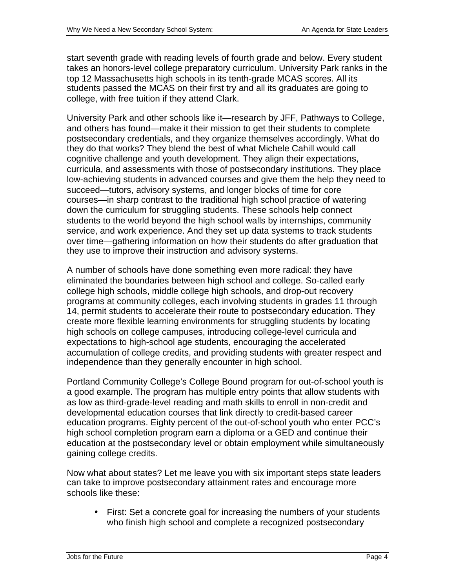start seventh grade with reading levels of fourth grade and below. Every student takes an honors-level college preparatory curriculum. University Park ranks in the top 12 Massachusetts high schools in its tenth-grade MCAS scores. All its students passed the MCAS on their first try and all its graduates are going to college, with free tuition if they attend Clark.

University Park and other schools like it—research by JFF, Pathways to College, and others has found—make it their mission to get their students to complete postsecondary credentials, and they organize themselves accordingly. What do they do that works? They blend the best of what Michele Cahill would call cognitive challenge and youth development. They align their expectations, curricula, and assessments with those of postsecondary institutions. They place low-achieving students in advanced courses and give them the help they need to succeed—tutors, advisory systems, and longer blocks of time for core courses—in sharp contrast to the traditional high school practice of watering down the curriculum for struggling students. These schools help connect students to the world beyond the high school walls by internships, community service, and work experience. And they set up data systems to track students over time—gathering information on how their students do after graduation that they use to improve their instruction and advisory systems.

A number of schools have done something even more radical: they have eliminated the boundaries between high school and college. So-called early college high schools, middle college high schools, and drop-out recovery programs at community colleges, each involving students in grades 11 through 14, permit students to accelerate their route to postsecondary education. They create more flexible learning environments for struggling students by locating high schools on college campuses, introducing college-level curricula and expectations to high-school age students, encouraging the accelerated accumulation of college credits, and providing students with greater respect and independence than they generally encounter in high school.

Portland Community College's College Bound program for out-of-school youth is a good example. The program has multiple entry points that allow students with as low as third-grade-level reading and math skills to enroll in non-credit and developmental education courses that link directly to credit-based career education programs. Eighty percent of the out-of-school youth who enter PCC's high school completion program earn a diploma or a GED and continue their education at the postsecondary level or obtain employment while simultaneously gaining college credits.

Now what about states? Let me leave you with six important steps state leaders can take to improve postsecondary attainment rates and encourage more schools like these:

• First: Set a concrete goal for increasing the numbers of your students who finish high school and complete a recognized postsecondary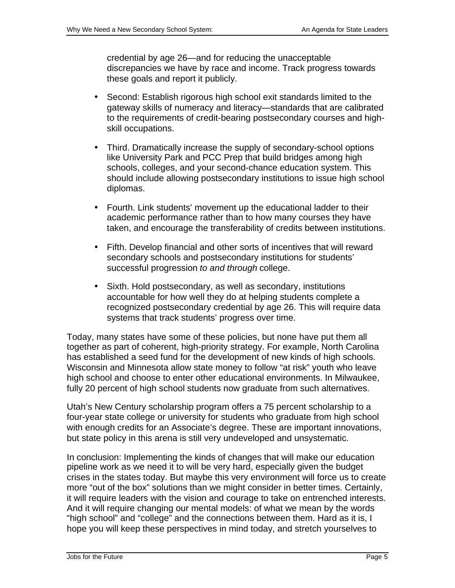credential by age 26—and for reducing the unacceptable discrepancies we have by race and income. Track progress towards these goals and report it publicly.

- Second: Establish rigorous high school exit standards limited to the gateway skills of numeracy and literacy—standards that are calibrated to the requirements of credit-bearing postsecondary courses and highskill occupations.
- Third. Dramatically increase the supply of secondary-school options like University Park and PCC Prep that build bridges among high schools, colleges, and your second-chance education system. This should include allowing postsecondary institutions to issue high school diplomas.
- Fourth. Link students' movement up the educational ladder to their academic performance rather than to how many courses they have taken, and encourage the transferability of credits between institutions.
- Fifth. Develop financial and other sorts of incentives that will reward secondary schools and postsecondary institutions for students' successful progression to and through college.
- Sixth. Hold postsecondary, as well as secondary, institutions accountable for how well they do at helping students complete a recognized postsecondary credential by age 26. This will require data systems that track students' progress over time.

Today, many states have some of these policies, but none have put them all together as part of coherent, high-priority strategy. For example, North Carolina has established a seed fund for the development of new kinds of high schools. Wisconsin and Minnesota allow state money to follow "at risk" youth who leave high school and choose to enter other educational environments. In Milwaukee, fully 20 percent of high school students now graduate from such alternatives.

Utah's New Century scholarship program offers a 75 percent scholarship to a four-year state college or university for students who graduate from high school with enough credits for an Associate's degree. These are important innovations, but state policy in this arena is still very undeveloped and unsystematic.

In conclusion: Implementing the kinds of changes that will make our education pipeline work as we need it to will be very hard, especially given the budget crises in the states today. But maybe this very environment will force us to create more "out of the box" solutions than we might consider in better times. Certainly, it will require leaders with the vision and courage to take on entrenched interests. And it will require changing our mental models: of what we mean by the words "high school" and "college" and the connections between them. Hard as it is, I hope you will keep these perspectives in mind today, and stretch yourselves to